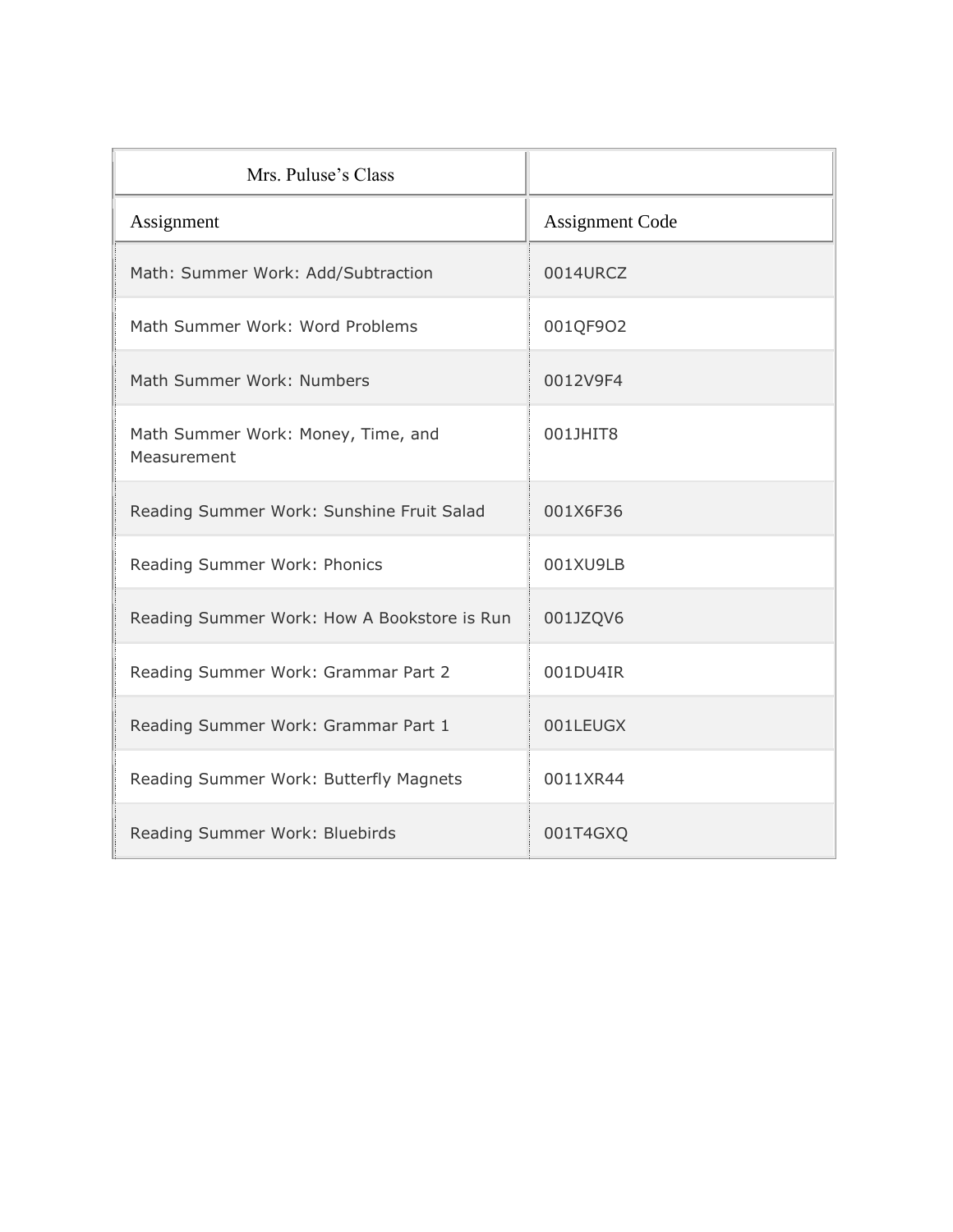| Mrs. Puluse's Class                               |                        |
|---------------------------------------------------|------------------------|
| Assignment                                        | <b>Assignment Code</b> |
| Math: Summer Work: Add/Subtraction                | 0014URCZ               |
| Math Summer Work: Word Problems                   | 001QF9O2               |
| Math Summer Work: Numbers                         | 0012V9F4               |
| Math Summer Work: Money, Time, and<br>Measurement | 001JHIT8               |
| Reading Summer Work: Sunshine Fruit Salad         | 001X6F36               |
| Reading Summer Work: Phonics                      | 001XU9LB               |
| Reading Summer Work: How A Bookstore is Run       | 001JZQV6               |
| Reading Summer Work: Grammar Part 2               | 001DU4IR               |
| Reading Summer Work: Grammar Part 1               | 001LEUGX               |
| Reading Summer Work: Butterfly Magnets            | 0011XR44               |
| Reading Summer Work: Bluebirds                    | 001T4GXQ               |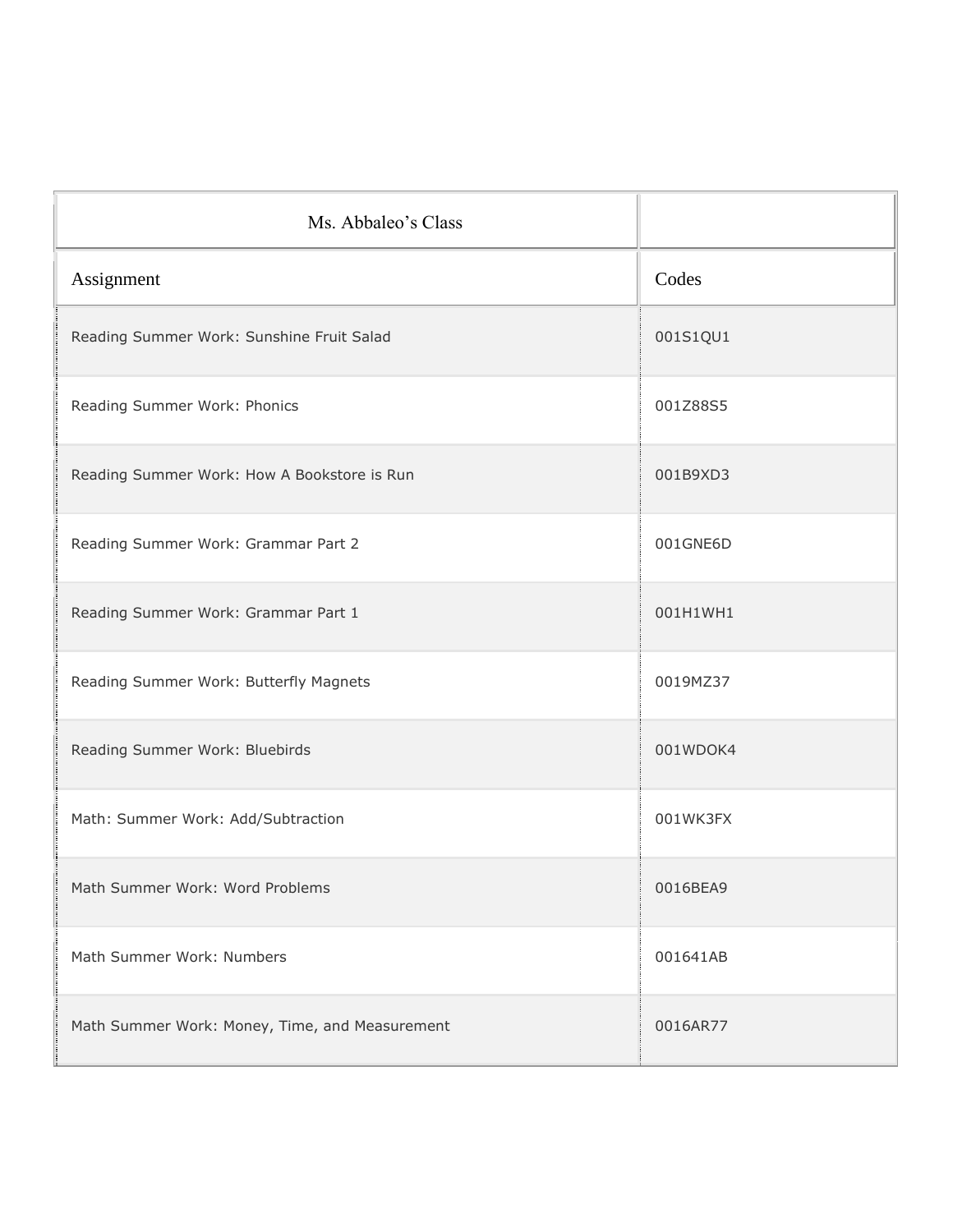| Ms. Abbaleo's Class                            |          |
|------------------------------------------------|----------|
| Assignment                                     | Codes    |
| Reading Summer Work: Sunshine Fruit Salad      | 001S1QU1 |
| Reading Summer Work: Phonics                   | 001Z88S5 |
| Reading Summer Work: How A Bookstore is Run    | 001B9XD3 |
| Reading Summer Work: Grammar Part 2            | 001GNE6D |
| Reading Summer Work: Grammar Part 1            | 001H1WH1 |
| Reading Summer Work: Butterfly Magnets         | 0019MZ37 |
| Reading Summer Work: Bluebirds                 | 001WDOK4 |
| Math: Summer Work: Add/Subtraction             | 001WK3FX |
| Math Summer Work: Word Problems                | 0016BEA9 |
| Math Summer Work: Numbers                      | 001641AB |
| Math Summer Work: Money, Time, and Measurement | 0016AR77 |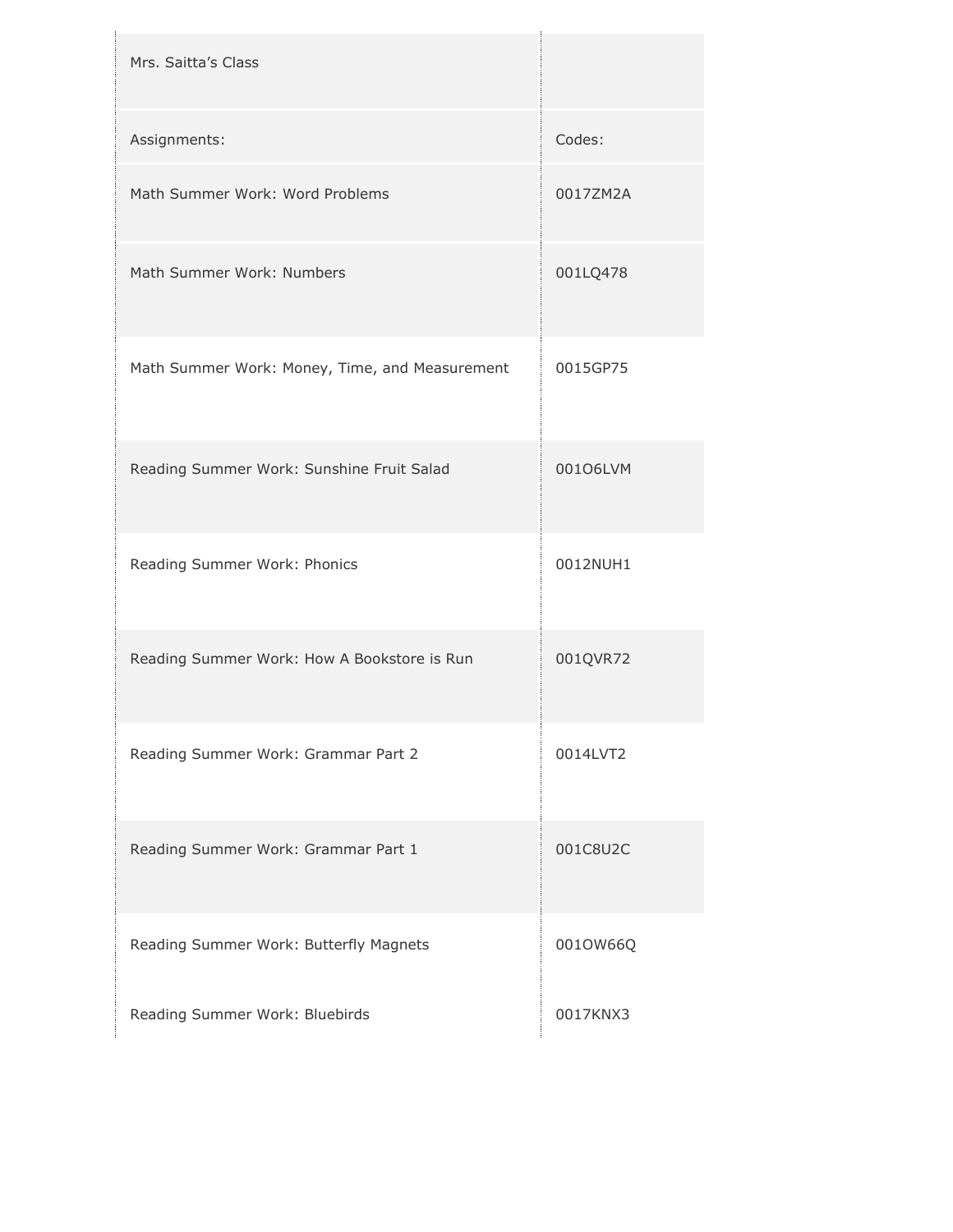| Mrs. Saitta's Class                            |          |
|------------------------------------------------|----------|
| Assignments:                                   | Codes:   |
| Math Summer Work: Word Problems                | 0017ZM2A |
| Math Summer Work: Numbers                      | 001LQ478 |
| Math Summer Work: Money, Time, and Measurement | 0015GP75 |
| Reading Summer Work: Sunshine Fruit Salad      | 00106LVM |
| Reading Summer Work: Phonics                   | 0012NUH1 |
| Reading Summer Work: How A Bookstore is Run    | 001QVR72 |
| Reading Summer Work: Grammar Part 2            | 0014LVT2 |
| Reading Summer Work: Grammar Part 1            | 001C8U2C |
| Reading Summer Work: Butterfly Magnets         | 001OW66Q |
| Reading Summer Work: Bluebirds                 | 0017KNX3 |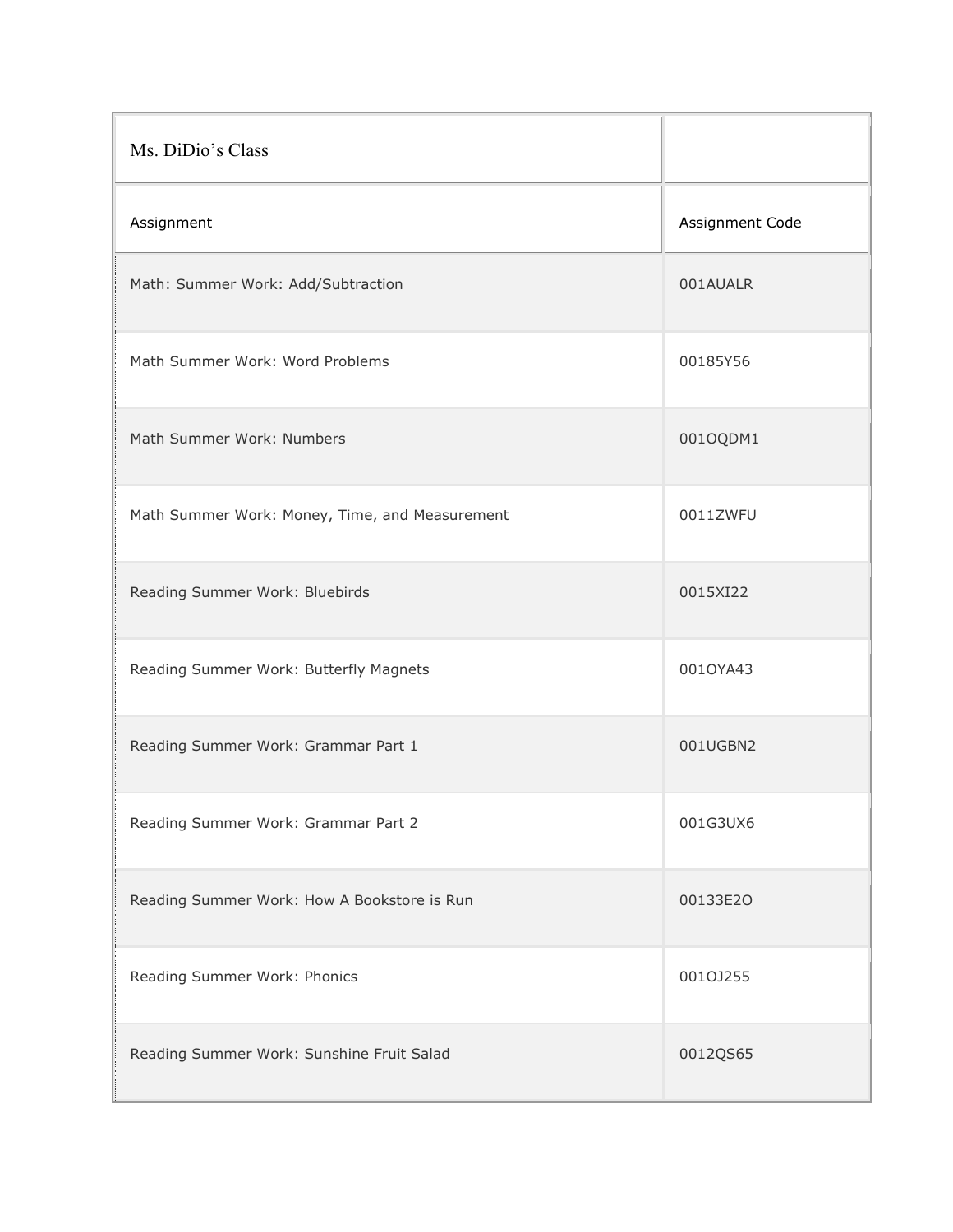| Ms. DiDio's Class                              |                 |
|------------------------------------------------|-----------------|
| Assignment                                     | Assignment Code |
| Math: Summer Work: Add/Subtraction             | 001AUALR        |
| Math Summer Work: Word Problems                | 00185Y56        |
| Math Summer Work: Numbers                      | 0010QDM1        |
| Math Summer Work: Money, Time, and Measurement | 0011ZWFU        |
| Reading Summer Work: Bluebirds                 | 0015XI22        |
| Reading Summer Work: Butterfly Magnets         | 001OYA43        |
| Reading Summer Work: Grammar Part 1            | 001UGBN2        |
| Reading Summer Work: Grammar Part 2            | 001G3UX6        |
| Reading Summer Work: How A Bookstore is Run    | 00133E2O        |
| Reading Summer Work: Phonics                   | 0010J255        |
| Reading Summer Work: Sunshine Fruit Salad      | 0012QS65        |